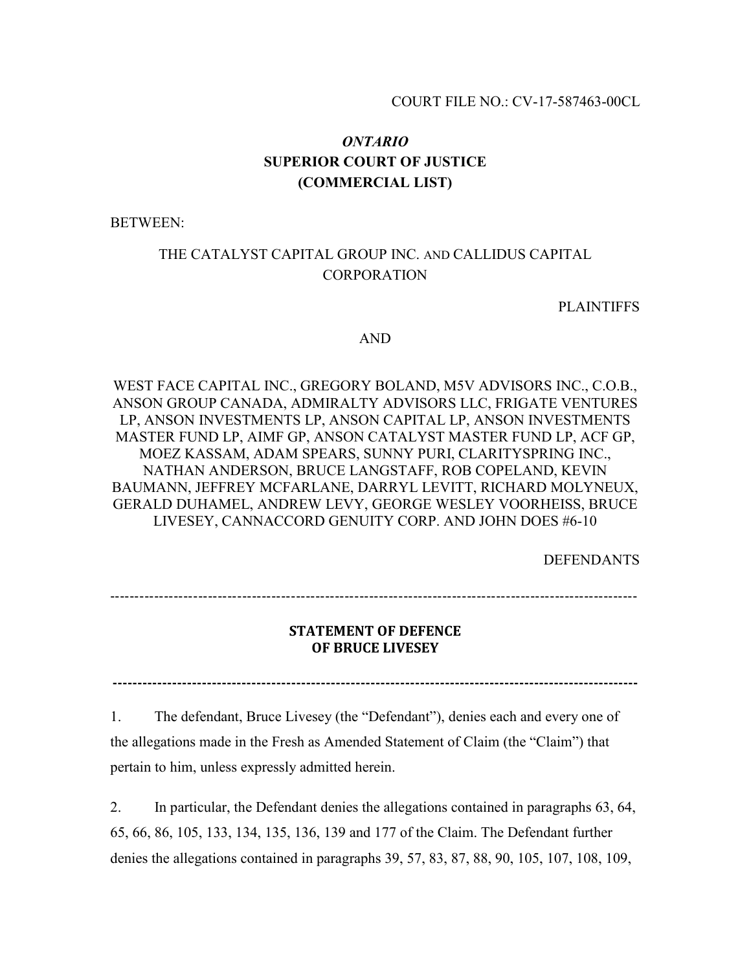# *ONTARIO* **SUPERIOR COURT OF JUSTICE (COMMERCIAL LIST)**

BETWEEN:

# THE CATALYST CAPITAL GROUP INC. AND CALLIDUS CAPITAL **CORPORATION**

PLAINTIFFS

#### AND

WEST FACE CAPITAL INC., GREGORY BOLAND, M5V ADVISORS INC., C.O.B., ANSON GROUP CANADA, ADMIRALTY ADVISORS LLC, FRIGATE VENTURES LP, ANSON INVESTMENTS LP, ANSON CAPITAL LP, ANSON INVESTMENTS MASTER FUND LP, AIMF GP, ANSON CATALYST MASTER FUND LP, ACF GP, MOEZ KASSAM, ADAM SPEARS, SUNNY PURI, CLARITYSPRING INC., NATHAN ANDERSON, BRUCE LANGSTAFF, ROB COPELAND, KEVIN BAUMANN, JEFFREY MCFARLANE, DARRYL LEVITT, RICHARD MOLYNEUX, GERALD DUHAMEL, ANDREW LEVY, GEORGE WESLEY VOORHEISS, BRUCE LIVESEY, CANNACCORD GENUITY CORP. AND JOHN DOES #6-10

DEFENDANTS

------------------------------------------------------------------------------------------------------------

# **STATEMENT OF DEFENCE OF BRUCE LIVESEY**

**----------------------------------------------------------------------------------------------------------**

1. The defendant, Bruce Livesey (the "Defendant"), denies each and every one of the allegations made in the Fresh as Amended Statement of Claim (the "Claim") that

pertain to him, unless expressly admitted herein.

2. In particular, the Defendant denies the allegations contained in paragraphs 63, 64, 65, 66, 86, 105, 133, 134, 135, 136, 139 and 177 of the Claim. The Defendant further denies the allegations contained in paragraphs 39, 57, 83, 87, 88, 90, 105, 107, 108, 109,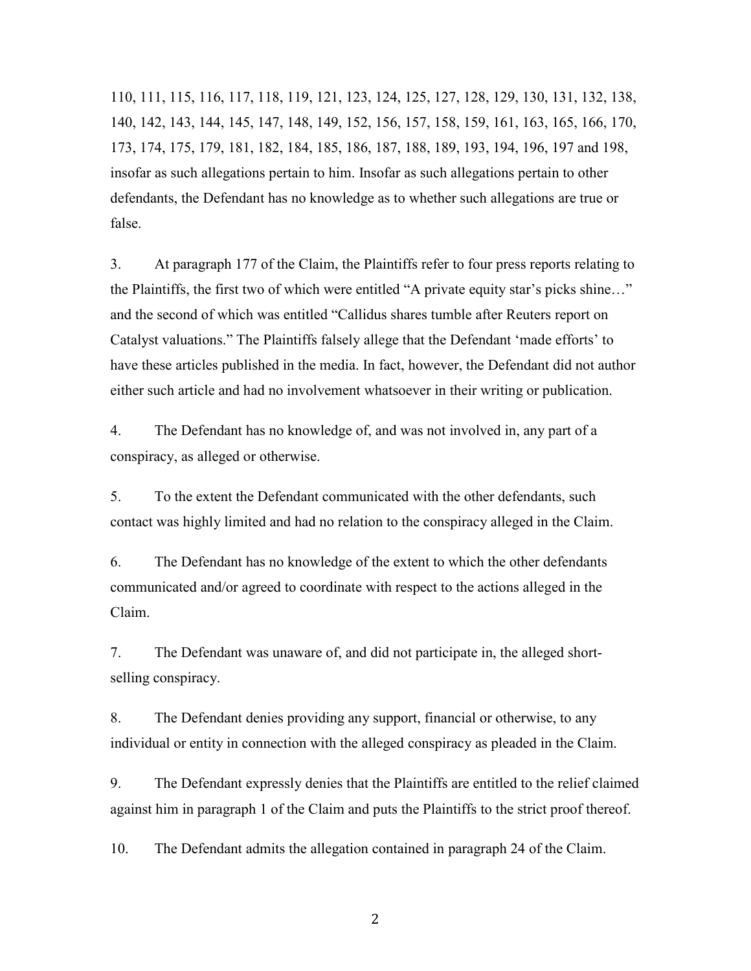110, 111, 115, 116, 117, 118, 119, 121, 123, 124, 125, 127, 128, 129, 130, 131, 132, 138, 140, 142, 143, 144, 145, 147, 148, 149, 152, 156, 157, 158, 159, 161, 163, 165, 166, 170, 173, 174, 175, 179, 181, 182, 184, 185, 186, 187, 188, 189, 193, 194, 196, 197 and 198, insofar as such allegations pertain to him. Insofar as such allegations pertain to other defendants, the Defendant has no knowledge as to whether such allegations are true or false.

3. At paragraph 177 of the Claim, the Plaintiffs refer to four press reports relating to the Plaintiffs, the first two of which were entitled "A private equity star's picks shine…" and the second of which was entitled "Callidus shares tumble after Reuters report on Catalyst valuations." The Plaintiffs falsely allege that the Defendant 'made efforts' to have these articles published in the media. In fact, however, the Defendant did not author either such article and had no involvement whatsoever in their writing or publication.

4. The Defendant has no knowledge of, and was not involved in, any part of a conspiracy, as alleged or otherwise.

5. To the extent the Defendant communicated with the other defendants, such contact was highly limited and had no relation to the conspiracy alleged in the Claim.

6. The Defendant has no knowledge of the extent to which the other defendants communicated and/or agreed to coordinate with respect to the actions alleged in the Claim.

7. The Defendant was unaware of, and did not participate in, the alleged shortselling conspiracy.

8. The Defendant denies providing any support, financial or otherwise, to any individual or entity in connection with the alleged conspiracy as pleaded in the Claim.

9. The Defendant expressly denies that the Plaintiffs are entitled to the relief claimed against him in paragraph 1 of the Claim and puts the Plaintiffs to the strict proof thereof.

10. The Defendant admits the allegation contained in paragraph 24 of the Claim.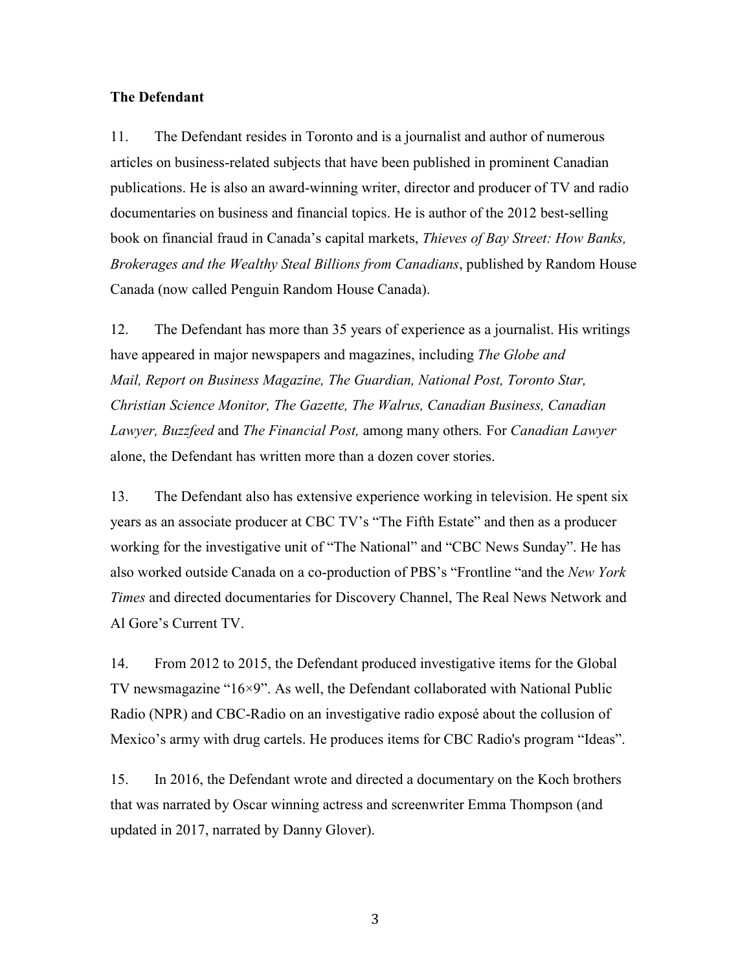### **The Defendant**

11. The Defendant resides in Toronto and is a journalist and author of numerous articles on business-related subjects that have been published in prominent Canadian publications. He is also an award-winning writer, director and producer of TV and radio documentaries on business and financial topics. He is author of the 2012 best-selling book on financial fraud in Canada's capital markets, *Thieves of Bay Street: How Banks, Brokerages and the Wealthy Steal Billions from Canadians*, published by Random House Canada (now called Penguin Random House Canada).

12. The Defendant has more than 35 years of experience as a journalist. His writings have appeared in major newspapers and magazines, including *The Globe and Mail, Report on Business Magazine, The Guardian, National Post, Toronto Star, Christian Science Monitor, The Gazette, The Walrus, Canadian Business, Canadian Lawyer, Buzzfeed* and *The Financial Post,* among many others*.* For *Canadian Lawyer*  alone, the Defendant has written more than a dozen cover stories.

13. The Defendant also has extensive experience working in television. He spent six years as an associate producer at CBC TV's "The Fifth Estate" and then as a producer working for the investigative unit of "The National" and "CBC News Sunday". He has also worked outside Canada on a co-production of PBS's "Frontline "and the *New York Times* and directed documentaries for Discovery Channel, The Real News Network and Al Gore's Current TV.

14. From 2012 to 2015, the Defendant produced investigative items for the Global TV newsmagazine "16×9". As well, the Defendant collaborated with National Public Radio (NPR) and CBC-Radio on an investigative radio exposé about the collusion of Mexico's army with drug cartels. He produces items for CBC Radio's program "Ideas".

15. In 2016, the Defendant wrote and directed a documentary on the Koch brothers that was narrated by Oscar winning actress and screenwriter Emma Thompson (and updated in 2017, narrated by Danny Glover).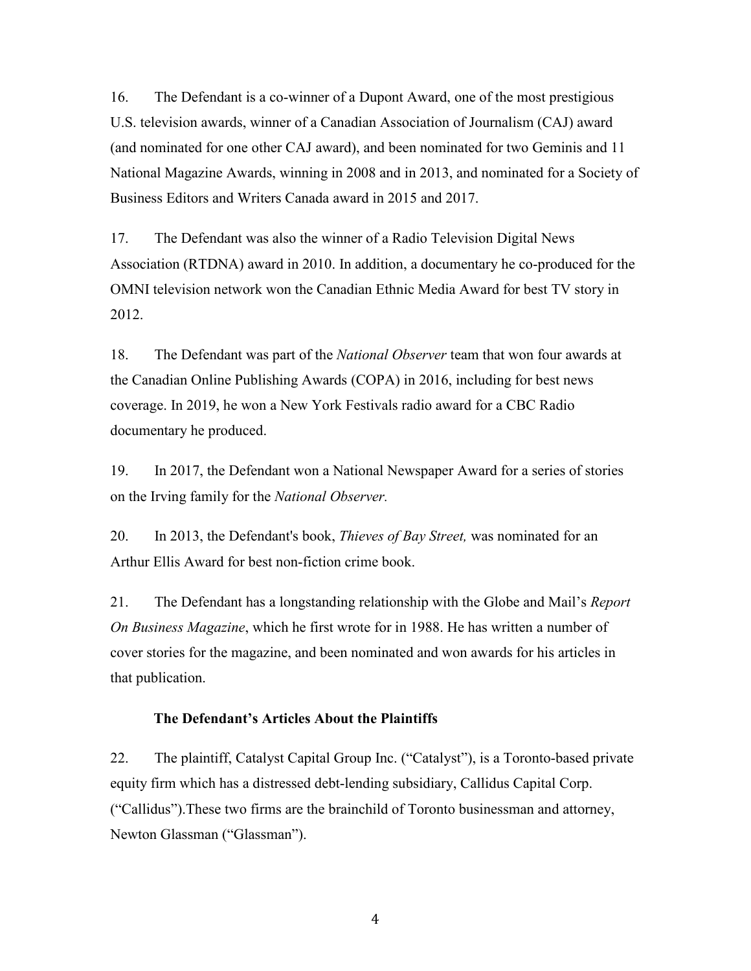16. The Defendant is a co-winner of a Dupont Award, one of the most prestigious U.S. television awards, winner of a Canadian Association of Journalism (CAJ) award (and nominated for one other CAJ award), and been nominated for two Geminis and 11 National Magazine Awards, winning in 2008 and in 2013, and nominated for a Society of Business Editors and Writers Canada award in 2015 and 2017.

17. The Defendant was also the winner of a Radio Television Digital News Association (RTDNA) award in 2010. In addition, a documentary he co-produced for the OMNI television network won the Canadian Ethnic Media Award for best TV story in 2012.

18. The Defendant was part of the *National Observer* team that won four awards at the Canadian Online Publishing Awards (COPA) in 2016, including for best news coverage. In 2019, he won a New York Festivals radio award for a CBC Radio documentary he produced.

19. In 2017, the Defendant won a National Newspaper Award for a series of stories on the Irving family for the *National Observer.*

20. In 2013, the Defendant's book, *Thieves of Bay Street,* was nominated for an Arthur Ellis Award for best non-fiction crime book.

21. The Defendant has a longstanding relationship with the Globe and Mail's *Report On Business Magazine*, which he first wrote for in 1988. He has written a number of cover stories for the magazine, and been nominated and won awards for his articles in that publication.

## **The Defendant's Articles About the Plaintiffs**

22. The plaintiff, Catalyst Capital Group Inc. ("Catalyst"), is a Toronto-based private equity firm which has a distressed debt-lending subsidiary, Callidus Capital Corp. ("Callidus").These two firms are the brainchild of Toronto businessman and attorney, Newton Glassman ("Glassman").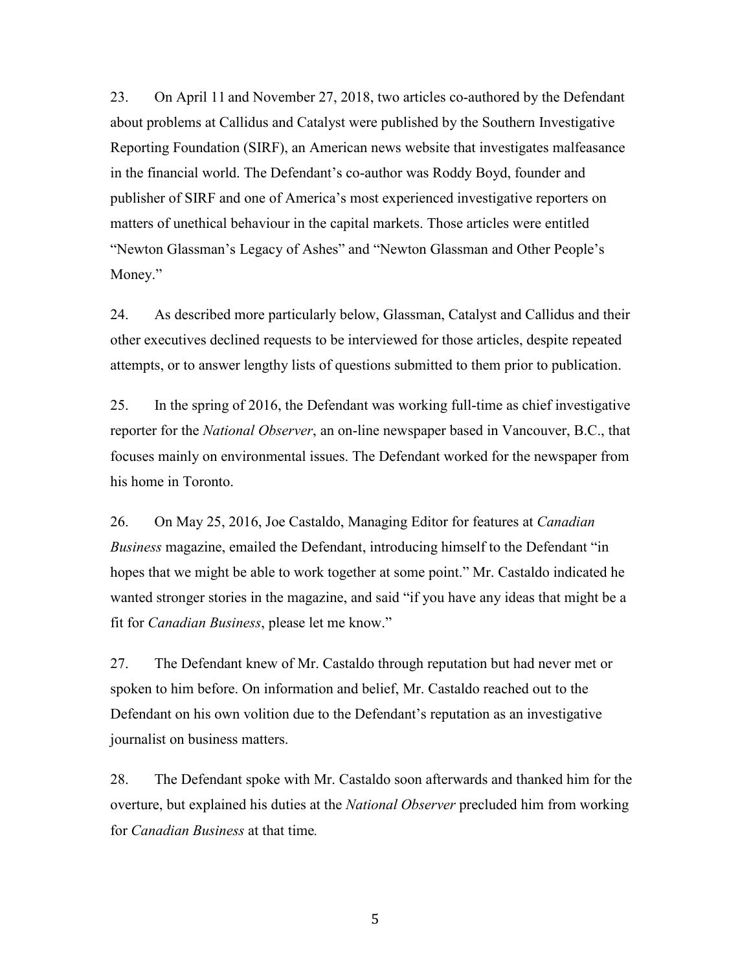23. On April 11 and November 27, 2018, two articles co-authored by the Defendant about problems at Callidus and Catalyst were published by the Southern Investigative Reporting Foundation (SIRF), an American news website that investigates malfeasance in the financial world. The Defendant's co-author was Roddy Boyd, founder and publisher of SIRF and one of America's most experienced investigative reporters on matters of unethical behaviour in the capital markets. Those articles were entitled "Newton Glassman's Legacy of Ashes" and "Newton Glassman and Other People's Money."

24. As described more particularly below, Glassman, Catalyst and Callidus and their other executives declined requests to be interviewed for those articles, despite repeated attempts, or to answer lengthy lists of questions submitted to them prior to publication.

25. In the spring of 2016, the Defendant was working full-time as chief investigative reporter for the *National Observer*, an on-line newspaper based in Vancouver, B.C., that focuses mainly on environmental issues. The Defendant worked for the newspaper from his home in Toronto.

26. On May 25, 2016, Joe Castaldo, Managing Editor for features at *Canadian Business* magazine, emailed the Defendant, introducing himself to the Defendant "in hopes that we might be able to work together at some point." Mr. Castaldo indicated he wanted stronger stories in the magazine, and said "if you have any ideas that might be a fit for *Canadian Business*, please let me know."

27. The Defendant knew of Mr. Castaldo through reputation but had never met or spoken to him before. On information and belief, Mr. Castaldo reached out to the Defendant on his own volition due to the Defendant's reputation as an investigative journalist on business matters.

28. The Defendant spoke with Mr. Castaldo soon afterwards and thanked him for the overture, but explained his duties at the *National Observer* precluded him from working for *Canadian Business* at that time*.*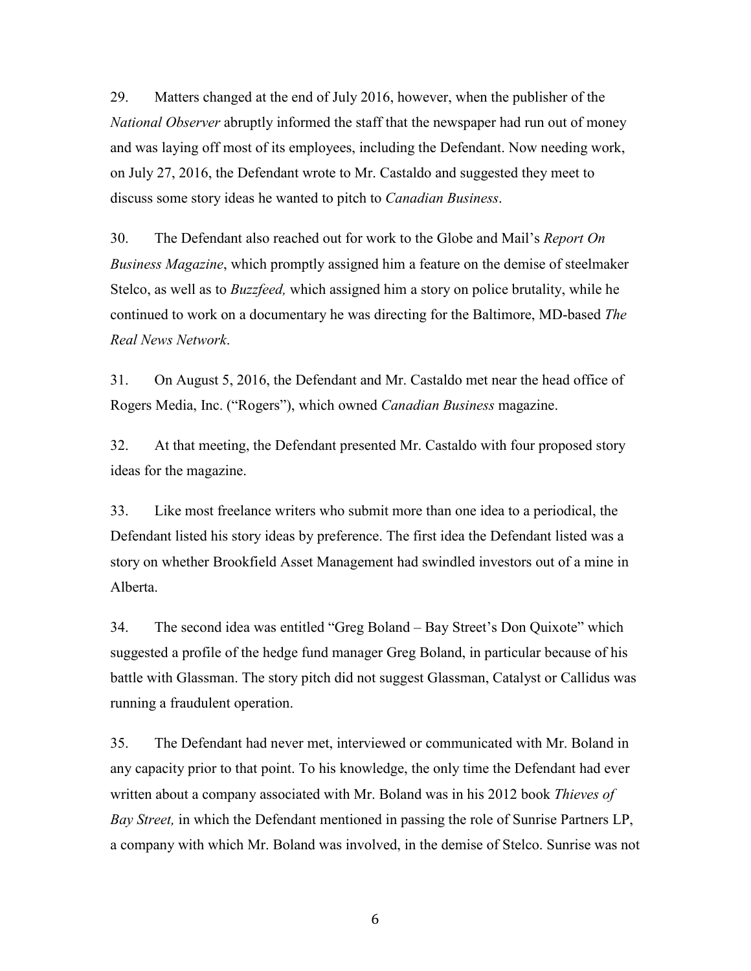29. Matters changed at the end of July 2016, however, when the publisher of the *National Observer* abruptly informed the staff that the newspaper had run out of money and was laying off most of its employees, including the Defendant. Now needing work, on July 27, 2016, the Defendant wrote to Mr. Castaldo and suggested they meet to discuss some story ideas he wanted to pitch to *Canadian Business*.

30. The Defendant also reached out for work to the Globe and Mail's *Report On Business Magazine*, which promptly assigned him a feature on the demise of steelmaker Stelco, as well as to *Buzzfeed,* which assigned him a story on police brutality, while he continued to work on a documentary he was directing for the Baltimore, MD-based *The Real News Network*.

31. On August 5, 2016, the Defendant and Mr. Castaldo met near the head office of Rogers Media, Inc. ("Rogers"), which owned *Canadian Business* magazine.

32. At that meeting, the Defendant presented Mr. Castaldo with four proposed story ideas for the magazine.

33. Like most freelance writers who submit more than one idea to a periodical, the Defendant listed his story ideas by preference. The first idea the Defendant listed was a story on whether Brookfield Asset Management had swindled investors out of a mine in Alberta.

34. The second idea was entitled "Greg Boland – Bay Street's Don Quixote" which suggested a profile of the hedge fund manager Greg Boland, in particular because of his battle with Glassman. The story pitch did not suggest Glassman, Catalyst or Callidus was running a fraudulent operation.

35. The Defendant had never met, interviewed or communicated with Mr. Boland in any capacity prior to that point. To his knowledge, the only time the Defendant had ever written about a company associated with Mr. Boland was in his 2012 book *Thieves of Bay Street,* in which the Defendant mentioned in passing the role of Sunrise Partners LP, a company with which Mr. Boland was involved, in the demise of Stelco. Sunrise was not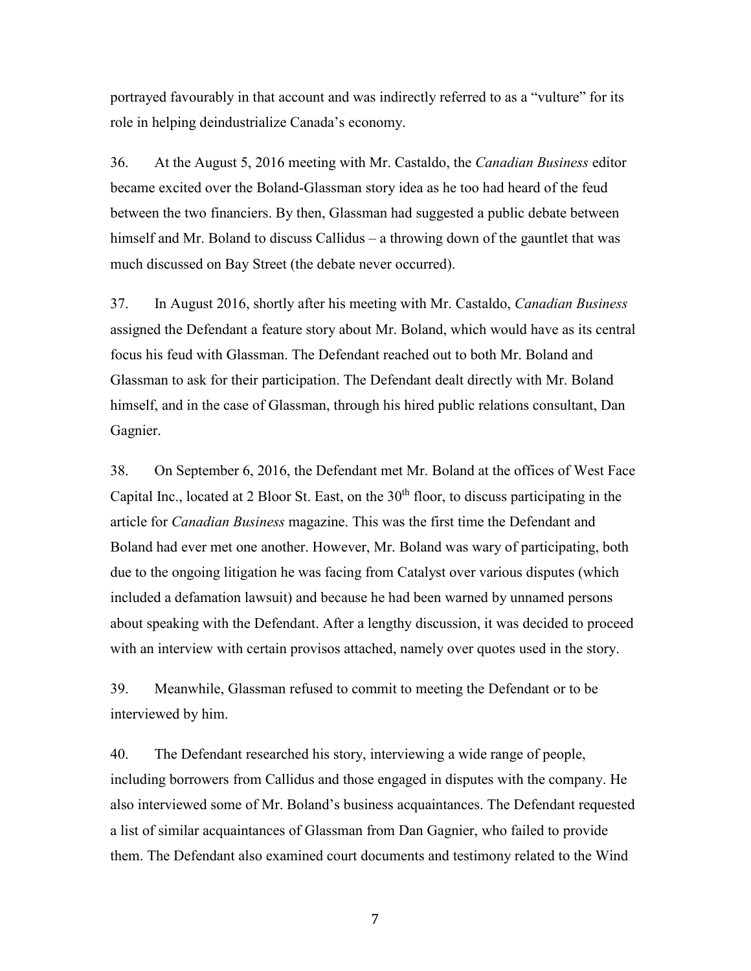portrayed favourably in that account and was indirectly referred to as a "vulture" for its role in helping deindustrialize Canada's economy.

36. At the August 5, 2016 meeting with Mr. Castaldo, the *Canadian Business* editor became excited over the Boland-Glassman story idea as he too had heard of the feud between the two financiers. By then, Glassman had suggested a public debate between himself and Mr. Boland to discuss Callidus – a throwing down of the gauntlet that was much discussed on Bay Street (the debate never occurred).

37. In August 2016, shortly after his meeting with Mr. Castaldo, *Canadian Business* assigned the Defendant a feature story about Mr. Boland, which would have as its central focus his feud with Glassman. The Defendant reached out to both Mr. Boland and Glassman to ask for their participation. The Defendant dealt directly with Mr. Boland himself, and in the case of Glassman, through his hired public relations consultant, Dan Gagnier.

38. On September 6, 2016, the Defendant met Mr. Boland at the offices of West Face Capital Inc., located at 2 Bloor St. East, on the  $30<sup>th</sup>$  floor, to discuss participating in the article for *Canadian Business* magazine. This was the first time the Defendant and Boland had ever met one another. However, Mr. Boland was wary of participating, both due to the ongoing litigation he was facing from Catalyst over various disputes (which included a defamation lawsuit) and because he had been warned by unnamed persons about speaking with the Defendant. After a lengthy discussion, it was decided to proceed with an interview with certain provisos attached, namely over quotes used in the story.

39. Meanwhile, Glassman refused to commit to meeting the Defendant or to be interviewed by him.

40. The Defendant researched his story, interviewing a wide range of people, including borrowers from Callidus and those engaged in disputes with the company. He also interviewed some of Mr. Boland's business acquaintances. The Defendant requested a list of similar acquaintances of Glassman from Dan Gagnier, who failed to provide them. The Defendant also examined court documents and testimony related to the Wind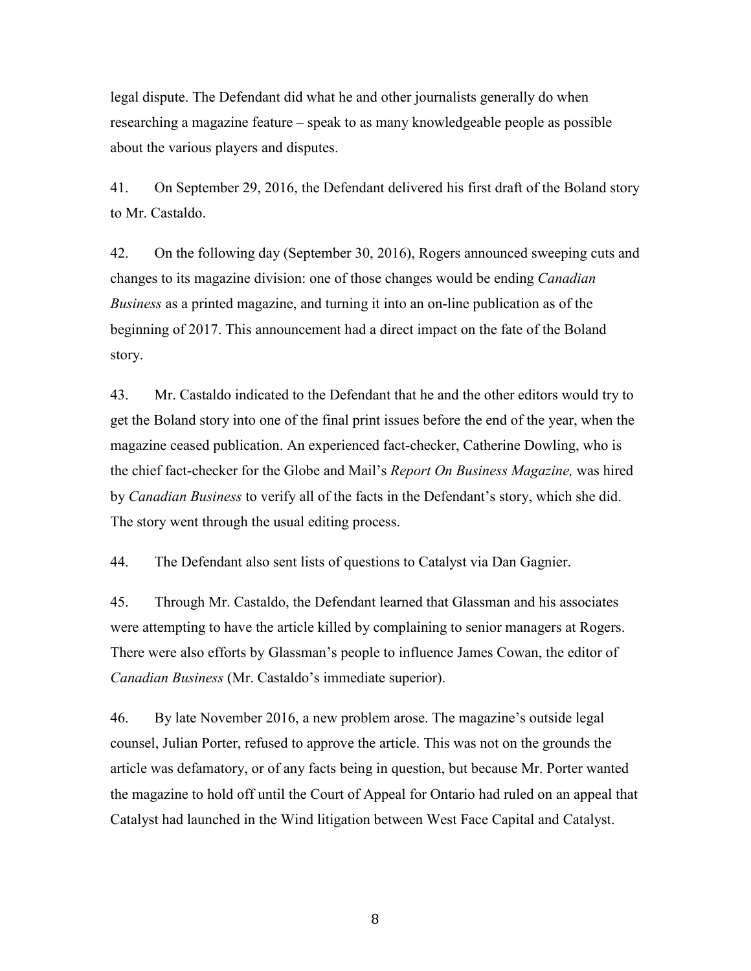legal dispute. The Defendant did what he and other journalists generally do when researching a magazine feature – speak to as many knowledgeable people as possible about the various players and disputes.

41. On September 29, 2016, the Defendant delivered his first draft of the Boland story to Mr. Castaldo.

42. On the following day (September 30, 2016), Rogers announced sweeping cuts and changes to its magazine division: one of those changes would be ending *Canadian Business* as a printed magazine, and turning it into an on-line publication as of the beginning of 2017. This announcement had a direct impact on the fate of the Boland story.

43. Mr. Castaldo indicated to the Defendant that he and the other editors would try to get the Boland story into one of the final print issues before the end of the year, when the magazine ceased publication. An experienced fact-checker, Catherine Dowling, who is the chief fact-checker for the Globe and Mail's *Report On Business Magazine,* was hired by *Canadian Business* to verify all of the facts in the Defendant's story, which she did. The story went through the usual editing process.

44. The Defendant also sent lists of questions to Catalyst via Dan Gagnier.

45. Through Mr. Castaldo, the Defendant learned that Glassman and his associates were attempting to have the article killed by complaining to senior managers at Rogers. There were also efforts by Glassman's people to influence James Cowan, the editor of *Canadian Business* (Mr. Castaldo's immediate superior).

46. By late November 2016, a new problem arose. The magazine's outside legal counsel, Julian Porter, refused to approve the article. This was not on the grounds the article was defamatory, or of any facts being in question, but because Mr. Porter wanted the magazine to hold off until the Court of Appeal for Ontario had ruled on an appeal that Catalyst had launched in the Wind litigation between West Face Capital and Catalyst.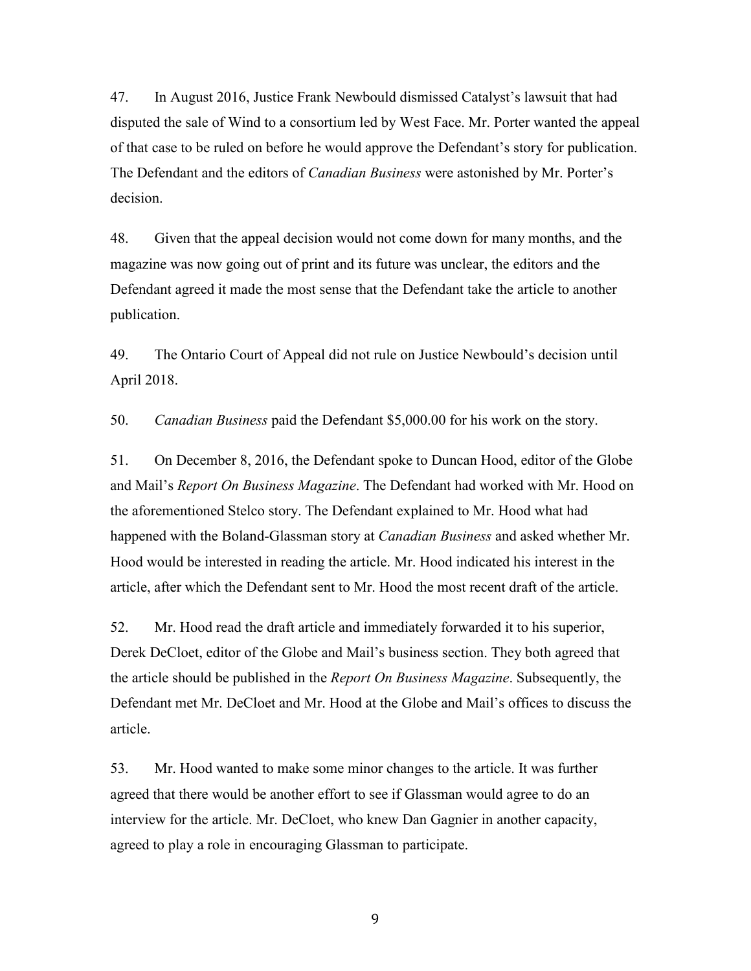47. In August 2016, Justice Frank Newbould dismissed Catalyst's lawsuit that had disputed the sale of Wind to a consortium led by West Face. Mr. Porter wanted the appeal of that case to be ruled on before he would approve the Defendant's story for publication. The Defendant and the editors of *Canadian Business* were astonished by Mr. Porter's decision.

48. Given that the appeal decision would not come down for many months, and the magazine was now going out of print and its future was unclear, the editors and the Defendant agreed it made the most sense that the Defendant take the article to another publication.

49. The Ontario Court of Appeal did not rule on Justice Newbould's decision until April 2018.

50. *Canadian Business* paid the Defendant \$5,000.00 for his work on the story.

51. On December 8, 2016, the Defendant spoke to Duncan Hood, editor of the Globe and Mail's *Report On Business Magazine*. The Defendant had worked with Mr. Hood on the aforementioned Stelco story. The Defendant explained to Mr. Hood what had happened with the Boland-Glassman story at *Canadian Business* and asked whether Mr. Hood would be interested in reading the article. Mr. Hood indicated his interest in the article, after which the Defendant sent to Mr. Hood the most recent draft of the article.

52. Mr. Hood read the draft article and immediately forwarded it to his superior, Derek DeCloet, editor of the Globe and Mail's business section. They both agreed that the article should be published in the *Report On Business Magazine*. Subsequently, the Defendant met Mr. DeCloet and Mr. Hood at the Globe and Mail's offices to discuss the article.

53. Mr. Hood wanted to make some minor changes to the article. It was further agreed that there would be another effort to see if Glassman would agree to do an interview for the article. Mr. DeCloet, who knew Dan Gagnier in another capacity, agreed to play a role in encouraging Glassman to participate.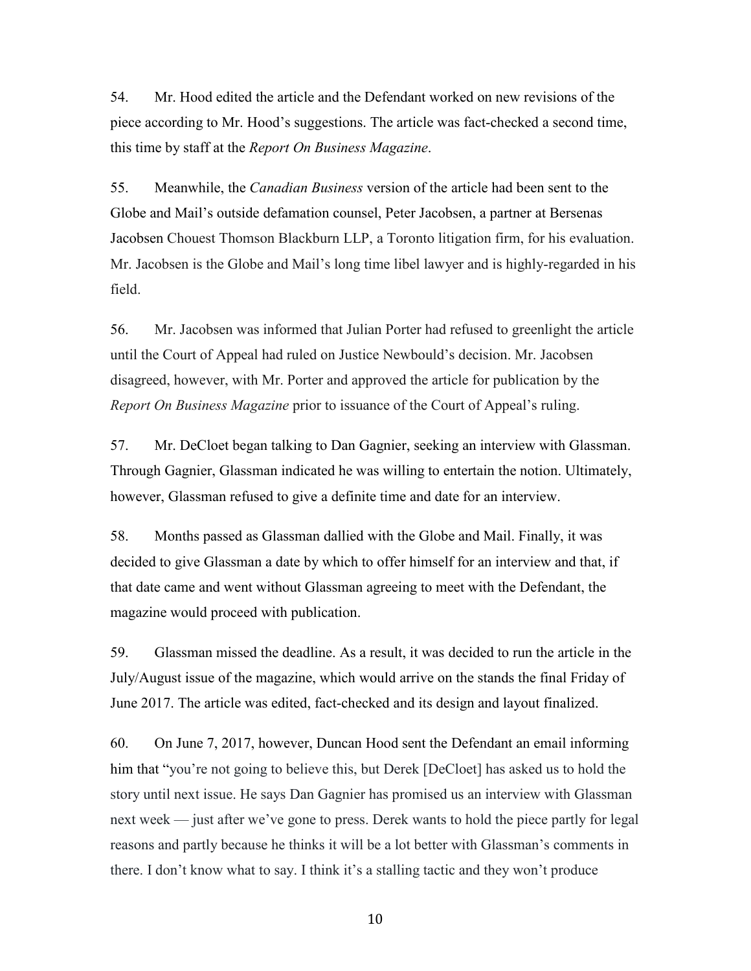54. Mr. Hood edited the article and the Defendant worked on new revisions of the piece according to Mr. Hood's suggestions. The article was fact-checked a second time, this time by staff at the *Report On Business Magazine*.

55. Meanwhile, the *Canadian Business* version of the article had been sent to the Globe and Mail's outside defamation counsel, Peter Jacobsen, a partner at Bersenas Jacobsen Chouest Thomson Blackburn LLP, a Toronto litigation firm, for his evaluation. Mr. Jacobsen is the Globe and Mail's long time libel lawyer and is highly-regarded in his field.

56. Mr. Jacobsen was informed that Julian Porter had refused to greenlight the article until the Court of Appeal had ruled on Justice Newbould's decision. Mr. Jacobsen disagreed, however, with Mr. Porter and approved the article for publication by the *Report On Business Magazine* prior to issuance of the Court of Appeal's ruling.

57. Mr. DeCloet began talking to Dan Gagnier, seeking an interview with Glassman. Through Gagnier, Glassman indicated he was willing to entertain the notion. Ultimately, however, Glassman refused to give a definite time and date for an interview.

58. Months passed as Glassman dallied with the Globe and Mail. Finally, it was decided to give Glassman a date by which to offer himself for an interview and that, if that date came and went without Glassman agreeing to meet with the Defendant, the magazine would proceed with publication.

59. Glassman missed the deadline. As a result, it was decided to run the article in the July/August issue of the magazine, which would arrive on the stands the final Friday of June 2017. The article was edited, fact-checked and its design and layout finalized.

60. On June 7, 2017, however, Duncan Hood sent the Defendant an email informing him that "you're not going to believe this, but Derek [DeCloet] has asked us to hold the story until next issue. He says Dan Gagnier has promised us an interview with Glassman next week — just after we've gone to press. Derek wants to hold the piece partly for legal reasons and partly because he thinks it will be a lot better with Glassman's comments in there. I don't know what to say. I think it's a stalling tactic and they won't produce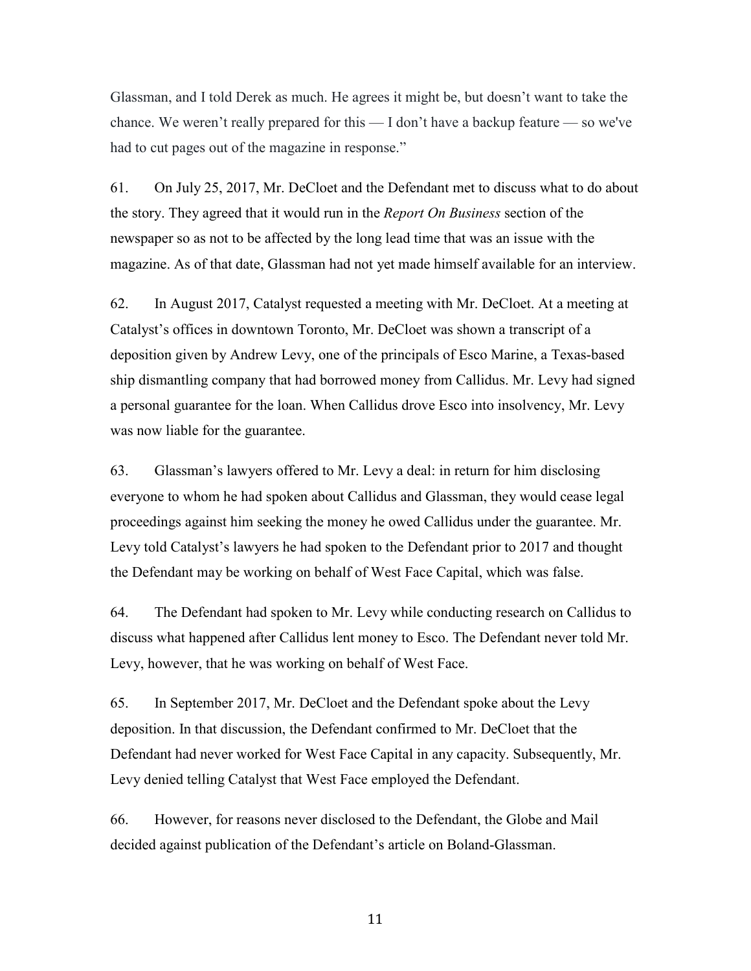Glassman, and I told Derek as much. He agrees it might be, but doesn't want to take the chance. We weren't really prepared for this — I don't have a backup feature — so we've had to cut pages out of the magazine in response."

61. On July 25, 2017, Mr. DeCloet and the Defendant met to discuss what to do about the story. They agreed that it would run in the *Report On Business* section of the newspaper so as not to be affected by the long lead time that was an issue with the magazine. As of that date, Glassman had not yet made himself available for an interview.

62. In August 2017, Catalyst requested a meeting with Mr. DeCloet. At a meeting at Catalyst's offices in downtown Toronto, Mr. DeCloet was shown a transcript of a deposition given by Andrew Levy, one of the principals of Esco Marine, a Texas-based ship dismantling company that had borrowed money from Callidus. Mr. Levy had signed a personal guarantee for the loan. When Callidus drove Esco into insolvency, Mr. Levy was now liable for the guarantee.

63. Glassman's lawyers offered to Mr. Levy a deal: in return for him disclosing everyone to whom he had spoken about Callidus and Glassman, they would cease legal proceedings against him seeking the money he owed Callidus under the guarantee. Mr. Levy told Catalyst's lawyers he had spoken to the Defendant prior to 2017 and thought the Defendant may be working on behalf of West Face Capital, which was false.

64. The Defendant had spoken to Mr. Levy while conducting research on Callidus to discuss what happened after Callidus lent money to Esco. The Defendant never told Mr. Levy, however, that he was working on behalf of West Face.

65. In September 2017, Mr. DeCloet and the Defendant spoke about the Levy deposition. In that discussion, the Defendant confirmed to Mr. DeCloet that the Defendant had never worked for West Face Capital in any capacity. Subsequently, Mr. Levy denied telling Catalyst that West Face employed the Defendant.

66. However, for reasons never disclosed to the Defendant, the Globe and Mail decided against publication of the Defendant's article on Boland-Glassman.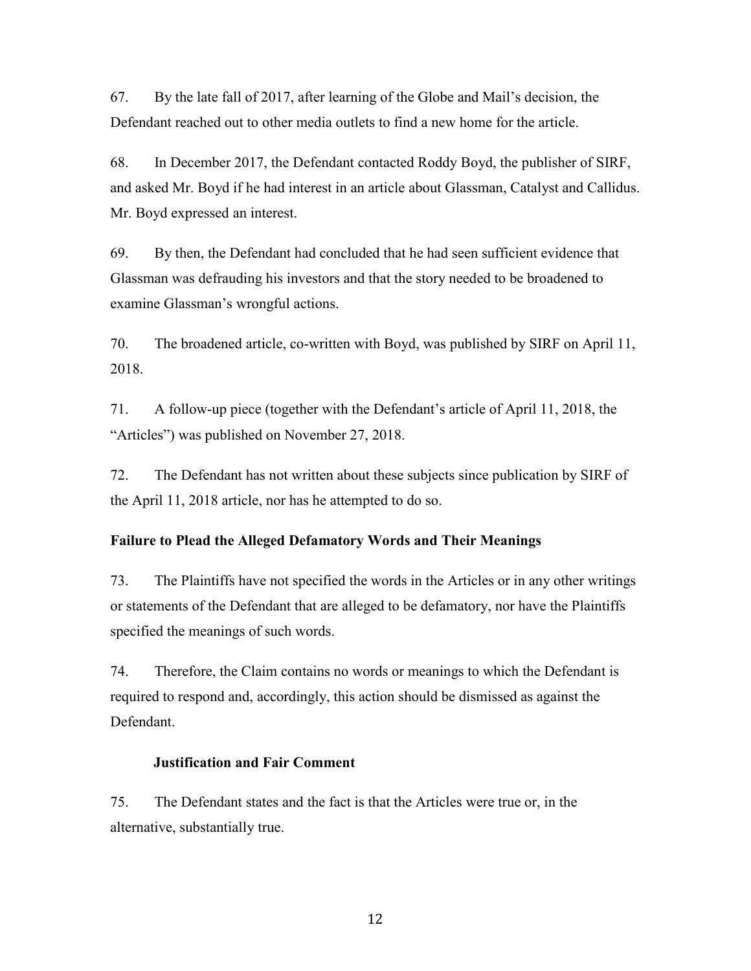67. By the late fall of 2017, after learning of the Globe and Mail's decision, the Defendant reached out to other media outlets to find a new home for the article.

68. In December 2017, the Defendant contacted Roddy Boyd, the publisher of SIRF, and asked Mr. Boyd if he had interest in an article about Glassman, Catalyst and Callidus. Mr. Boyd expressed an interest.

69. By then, the Defendant had concluded that he had seen sufficient evidence that Glassman was defrauding his investors and that the story needed to be broadened to examine Glassman's wrongful actions.

70. The broadened article, co-written with Boyd, was published by SIRF on April 11, 2018.

71. A follow-up piece (together with the Defendant's article of April 11, 2018, the "Articles") was published on November 27, 2018.

72. The Defendant has not written about these subjects since publication by SIRF of the April 11, 2018 article, nor has he attempted to do so.

## **Failure to Plead the Alleged Defamatory Words and Their Meanings**

73. The Plaintiffs have not specified the words in the Articles or in any other writings or statements of the Defendant that are alleged to be defamatory, nor have the Plaintiffs specified the meanings of such words.

74. Therefore, the Claim contains no words or meanings to which the Defendant is required to respond and, accordingly, this action should be dismissed as against the Defendant.

## **Justification and Fair Comment**

75. The Defendant states and the fact is that the Articles were true or, in the alternative, substantially true.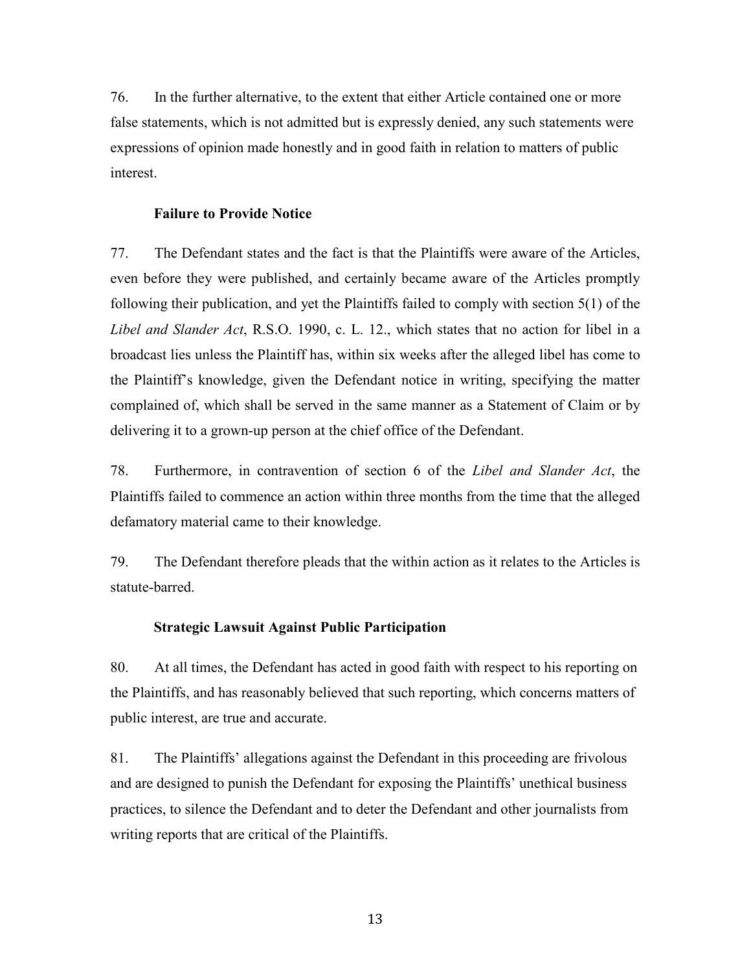76. In the further alternative, to the extent that either Article contained one or more false statements, which is not admitted but is expressly denied, any such statements were expressions of opinion made honestly and in good faith in relation to matters of public interest.

### **Failure to Provide Notice**

77. The Defendant states and the fact is that the Plaintiffs were aware of the Articles, even before they were published, and certainly became aware of the Articles promptly following their publication, and yet the Plaintiffs failed to comply with section 5(1) of the *Libel and Slander Act*, R.S.O. 1990, c. L. 12., which states that no action for libel in a broadcast lies unless the Plaintiff has, within six weeks after the alleged libel has come to the Plaintiff's knowledge, given the Defendant notice in writing, specifying the matter complained of, which shall be served in the same manner as a Statement of Claim or by delivering it to a grown-up person at the chief office of the Defendant.

78. Furthermore, in contravention of section 6 of the *Libel and Slander Act*, the Plaintiffs failed to commence an action within three months from the time that the alleged defamatory material came to their knowledge.

79. The Defendant therefore pleads that the within action as it relates to the Articles is statute-barred.

#### **Strategic Lawsuit Against Public Participation**

80. At all times, the Defendant has acted in good faith with respect to his reporting on the Plaintiffs, and has reasonably believed that such reporting, which concerns matters of public interest, are true and accurate.

81. The Plaintiffs' allegations against the Defendant in this proceeding are frivolous and are designed to punish the Defendant for exposing the Plaintiffs' unethical business practices, to silence the Defendant and to deter the Defendant and other journalists from writing reports that are critical of the Plaintiffs.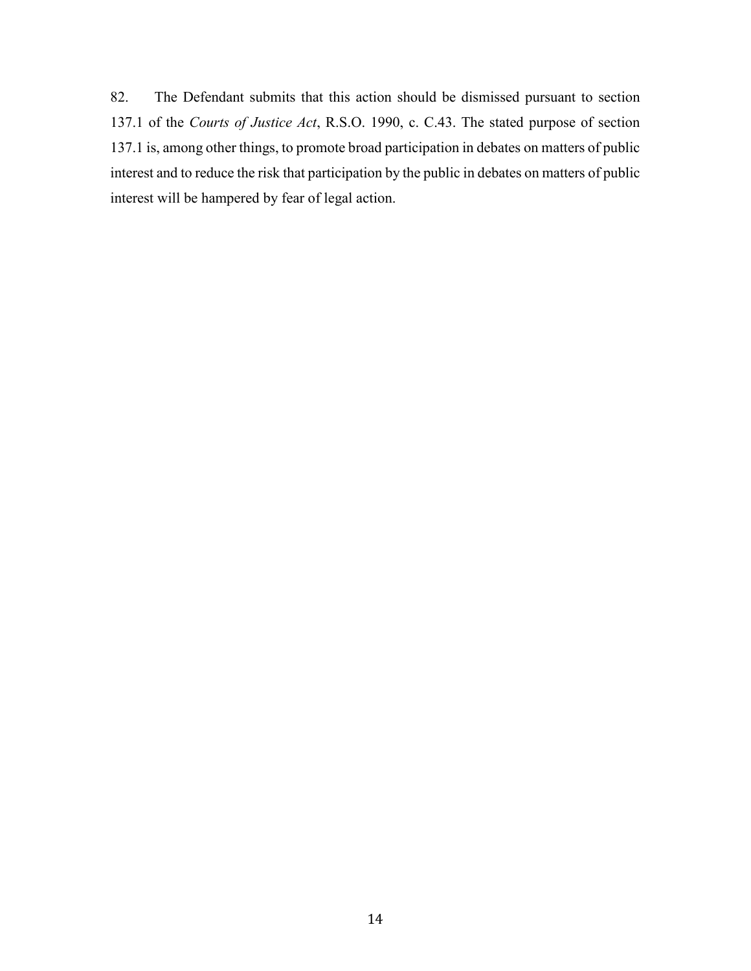82. The Defendant submits that this action should be dismissed pursuant to section 137.1 of the *Courts of Justice Act*, R.S.O. 1990, c. C.43. The stated purpose of section 137.1 is, among other things, to promote broad participation in debates on matters of public interest and to reduce the risk that participation by the public in debates on matters of public interest will be hampered by fear of legal action.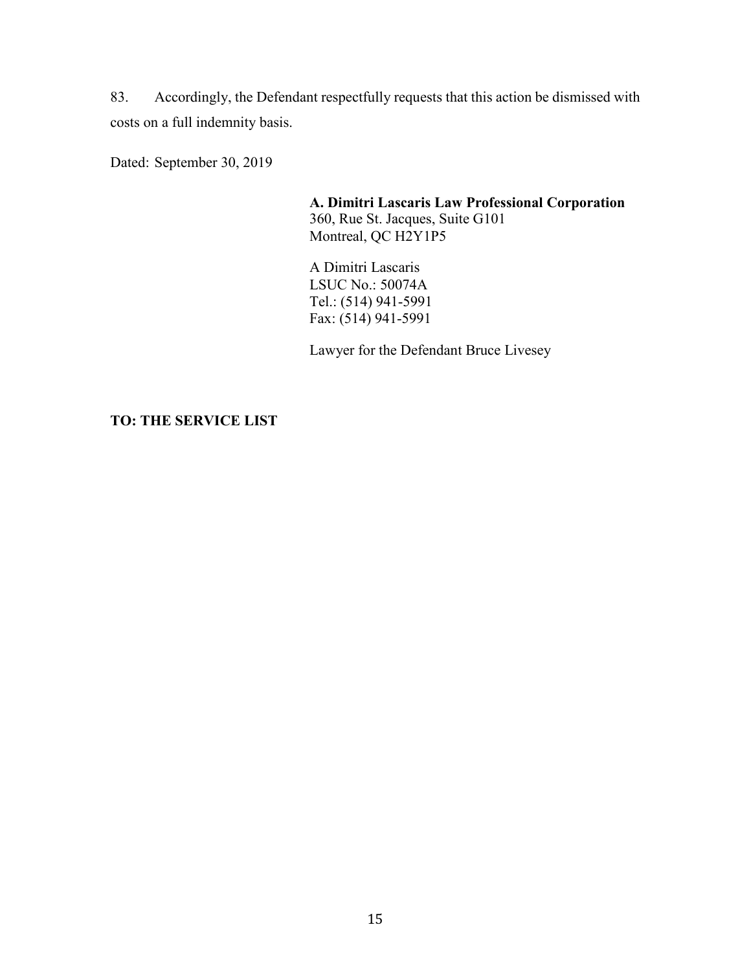83. Accordingly, the Defendant respectfully requests that this action be dismissed with costs on a full indemnity basis.

Dated: September 30, 2019

**A. Dimitri Lascaris Law Professional Corporation** 360, Rue St. Jacques, Suite G101 Montreal, QC H2Y1P5

A Dimitri Lascaris LSUC No.: 50074A Tel.: (514) 941-5991 Fax: (514) 941-5991

Lawyer for the Defendant Bruce Livesey

**TO: THE SERVICE LIST**